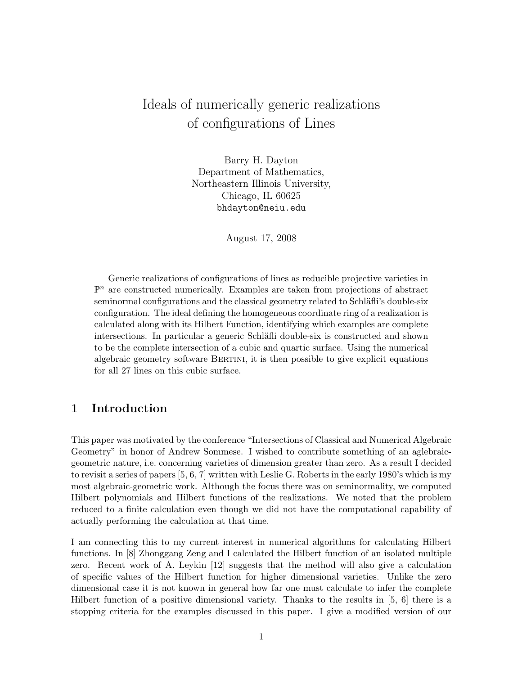# Ideals of numerically generic realizations of configurations of Lines

Barry H. Dayton Department of Mathematics, Northeastern Illinois University, Chicago, IL 60625 bhdayton@neiu.edu

August 17, 2008

Generic realizations of configurations of lines as reducible projective varieties in  $\mathbb{P}^n$  are constructed numerically. Examples are taken from projections of abstract seminormal configurations and the classical geometry related to Schläfli's double-six configuration. The ideal defining the homogeneous coordinate ring of a realization is calculated along with its Hilbert Function, identifying which examples are complete intersections. In particular a generic Schläfli double-six is constructed and shown to be the complete intersection of a cubic and quartic surface. Using the numerical algebraic geometry software Bertini, it is then possible to give explicit equations for all 27 lines on this cubic surface.

# 1 Introduction

This paper was motivated by the conference "Intersections of Classical and Numerical Algebraic Geometry" in honor of Andrew Sommese. I wished to contribute something of an aglebraicgeometric nature, i.e. concerning varieties of dimension greater than zero. As a result I decided to revisit a series of papers [5, 6, 7] written with Leslie G. Roberts in the early 1980's which is my most algebraic-geometric work. Although the focus there was on seminormality, we computed Hilbert polynomials and Hilbert functions of the realizations. We noted that the problem reduced to a finite calculation even though we did not have the computational capability of actually performing the calculation at that time.

I am connecting this to my current interest in numerical algorithms for calculating Hilbert functions. In [8] Zhonggang Zeng and I calculated the Hilbert function of an isolated multiple zero. Recent work of A. Leykin [12] suggests that the method will also give a calculation of specific values of the Hilbert function for higher dimensional varieties. Unlike the zero dimensional case it is not known in general how far one must calculate to infer the complete Hilbert function of a positive dimensional variety. Thanks to the results in [5, 6] there is a stopping criteria for the examples discussed in this paper. I give a modified version of our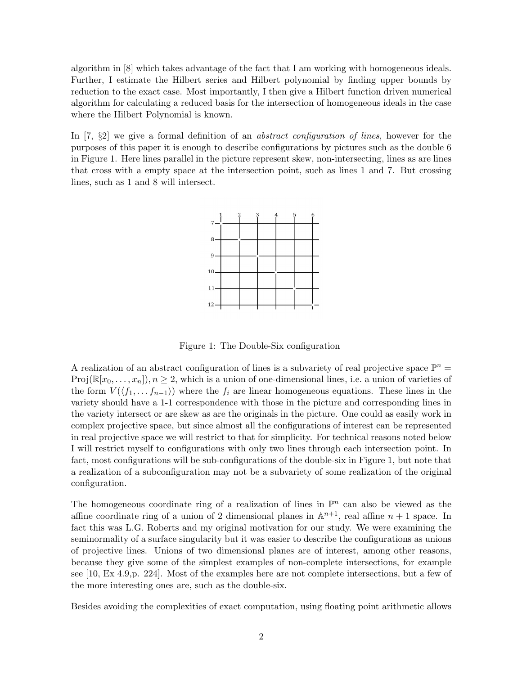algorithm in [8] which takes advantage of the fact that I am working with homogeneous ideals. Further, I estimate the Hilbert series and Hilbert polynomial by finding upper bounds by reduction to the exact case. Most importantly, I then give a Hilbert function driven numerical algorithm for calculating a reduced basis for the intersection of homogeneous ideals in the case where the Hilbert Polynomial is known.

In [7, §2] we give a formal definition of an *abstract configuration of lines*, however for the purposes of this paper it is enough to describe configurations by pictures such as the double 6 in Figure 1. Here lines parallel in the picture represent skew, non-intersecting, lines as are lines that cross with a empty space at the intersection point, such as lines 1 and 7. But crossing lines, such as 1 and 8 will intersect.



Figure 1: The Double-Six configuration

A realization of an abstract configuration of lines is a subvariety of real projective space  $\mathbb{P}^n$  =  $Proj(\mathbb{R}[x_0, \ldots, x_n]), n \geq 2$ , which is a union of one-dimensional lines, i.e. a union of varieties of the form  $V(\langle f_1, \ldots, f_{n-1} \rangle)$  where the  $f_i$  are linear homogeneous equations. These lines in the variety should have a 1-1 correspondence with those in the picture and corresponding lines in the variety intersect or are skew as are the originals in the picture. One could as easily work in complex projective space, but since almost all the configurations of interest can be represented in real projective space we will restrict to that for simplicity. For technical reasons noted below I will restrict myself to configurations with only two lines through each intersection point. In fact, most configurations will be sub-configurations of the double-six in Figure 1, but note that a realization of a subconfiguration may not be a subvariety of some realization of the original configuration.

The homogeneous coordinate ring of a realization of lines in  $\mathbb{P}^n$  can also be viewed as the affine coordinate ring of a union of 2 dimensional planes in  $\mathbb{A}^{n+1}$ , real affine  $n+1$  space. In fact this was L.G. Roberts and my original motivation for our study. We were examining the seminormality of a surface singularity but it was easier to describe the configurations as unions of projective lines. Unions of two dimensional planes are of interest, among other reasons, because they give some of the simplest examples of non-complete intersections, for example see [10, Ex 4.9,p. 224]. Most of the examples here are not complete intersections, but a few of the more interesting ones are, such as the double-six.

Besides avoiding the complexities of exact computation, using floating point arithmetic allows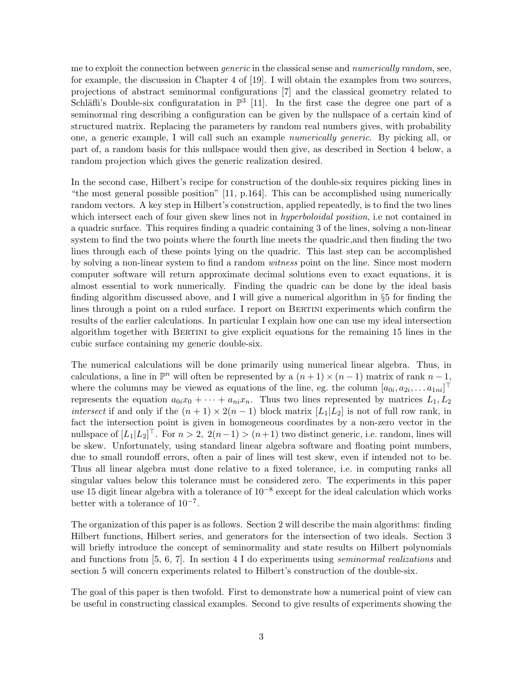me to exploit the connection between *generic* in the classical sense and *numerically random*, see, for example, the discussion in Chapter 4 of [19]. I will obtain the examples from two sources, projections of abstract seminormal configurations [7] and the classical geometry related to Schläfli's Double-six configuratation in  $\mathbb{P}^3$  [11]. In the first case the degree one part of a seminormal ring describing a configuration can be given by the nullspace of a certain kind of structured matrix. Replacing the parameters by random real numbers gives, with probability one, a generic example, I will call such an example numerically generic. By picking all, or part of, a random basis for this nullspace would then give, as described in Section 4 below, a random projection which gives the generic realization desired.

In the second case, Hilbert's recipe for construction of the double-six requires picking lines in "the most general possible position" [11, p.164]. This can be accomplished using numerically random vectors. A key step in Hilbert's construction, applied repeatedly, is to find the two lines which intersect each of four given skew lines not in *hyperboloidal position*, i.e not contained in a quadric surface. This requires finding a quadric containing 3 of the lines, solving a non-linear system to find the two points where the fourth line meets the quadric,and then finding the two lines through each of these points lying on the quadric. This last step can be accomplished by solving a non-linear system to find a random *witness* point on the line. Since most modern computer software will return approximate decimal solutions even to exact equations, it is almost essential to work numerically. Finding the quadric can be done by the ideal basis finding algorithm discussed above, and I will give a numerical algorithm in §5 for finding the lines through a point on a ruled surface. I report on BERTINI experiments which confirm the results of the earlier calculations. In particular I explain how one can use my ideal intersection algorithm together with BERTINI to give explicit equations for the remaining 15 lines in the cubic surface containing my generic double-six.

The numerical calculations will be done primarily using numerical linear algebra. Thus, in calculations, a line in  $\mathbb{P}^n$  will often be represented by a  $(n+1) \times (n-1)$  matrix of rank  $n-1$ , where the columns may be viewed as equations of the line, eg. the column  $[a_{0i}, a_{2i}, \ldots a_{1ni}]^{\top}$ represents the equation  $a_{0i}x_0 + \cdots + a_{ni}x_n$ . Thus two lines represented by matrices  $L_1, L_2$ *intersect* if and only if the  $(n + 1) \times 2(n - 1)$  block matrix  $[L_1|L_2]$  is not of full row rank, in fact the intersection point is given in homogeneous coordinates by a non-zero vector in the nullspace of  $[L_1|L_2]^\top$ . For  $n > 2$ ,  $2(n-1) > (n+1)$  two distinct generic, i.e. random, lines will be skew. Unfortunately, using standard linear algebra software and floating point numbers, due to small roundoff errors, often a pair of lines will test skew, even if intended not to be. Thus all linear algebra must done relative to a fixed tolerance, i.e. in computing ranks all singular values below this tolerance must be considered zero. The experiments in this paper use 15 digit linear algebra with a tolerance of  $10^{-8}$  except for the ideal calculation which works better with a tolerance of  $10^{-7}$ .

The organization of this paper is as follows. Section 2 will describe the main algorithms: finding Hilbert functions, Hilbert series, and generators for the intersection of two ideals. Section 3 will briefly introduce the concept of seminormality and state results on Hilbert polynomials and functions from  $[5, 6, 7]$ . In section 4 I do experiments using *seminormal realizations* and section 5 will concern experiments related to Hilbert's construction of the double-six.

The goal of this paper is then twofold. First to demonstrate how a numerical point of view can be useful in constructing classical examples. Second to give results of experiments showing the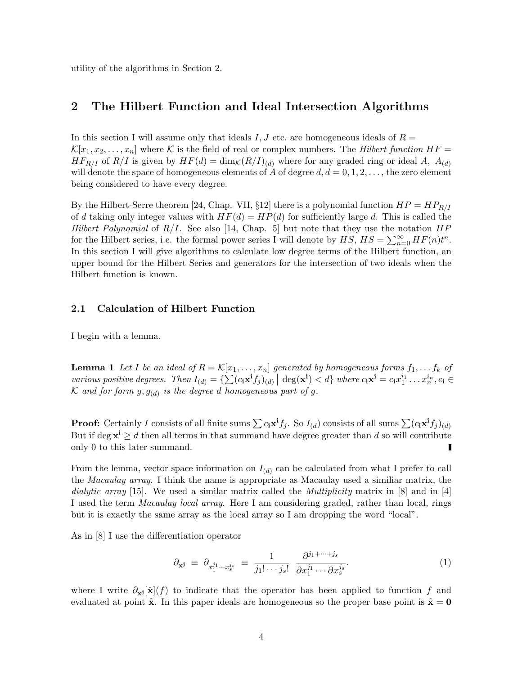utility of the algorithms in Section 2.

### 2 The Hilbert Function and Ideal Intersection Algorithms

In this section I will assume only that ideals I, J etc. are homogeneous ideals of  $R =$  $\mathcal{K}[x_1, x_2, \ldots, x_n]$  where K is the field of real or complex numbers. The Hilbert function  $HF =$  $HF_{R/I}$  of  $R/I$  is given by  $HF(d) = \dim_{\mathcal{K}}(R/I)_{(d)}$  where for any graded ring or ideal A,  $A_{(d)}$ will denote the space of homogeneous elements of A of degree  $d, d = 0, 1, 2, \ldots$ , the zero element being considered to have every degree.

By the Hilbert-Serre theorem [24, Chap. VII, §12] there is a polynomial function  $HP = HP_{R/I}$ of d taking only integer values with  $HF(d) = HP(d)$  for sufficiently large d. This is called the Hilbert Polynomial of  $R/I$ . See also [14, Chap. 5] but note that they use the notation  $HP$ for the Hilbert series, i.e. the formal power series I will denote by  $HS$ ,  $HS = \sum_{n=0}^{\infty} HF(n)t^n$ . In this section I will give algorithms to calculate low degree terms of the Hilbert function, an upper bound for the Hilbert Series and generators for the intersection of two ideals when the Hilbert function is known.

### 2.1 Calculation of Hilbert Function

I begin with a lemma.

**Lemma 1** Let I be an ideal of  $R = \mathcal{K}[x_1, \ldots, x_n]$  generated by homogeneous forms  $f_1, \ldots, f_k$  of various positive degrees. Then  $I_{(d)} = {\sum (c_i \mathbf{x}^i f_j)_{(d)}} | \deg(\mathbf{x}^i) < d$  where  $c_i \mathbf{x}^i = c_i x_1^{i_1} \dots x_n^{i_n}, c_i \in$ K and for form  $g, g_{(d)}$  is the degree d homogeneous part of g.

**Proof:** Certainly I consists of all finite sums  $\sum c_i \mathbf{x}^i f_j$ . So  $I_{(d)}$  consists of all sums  $\sum (c_i \mathbf{x}^i f_j)_{(d)}$ But if deg  $x^i \geq d$  then all terms in that summand have degree greater than d so will contribute only 0 to this later summand.

From the lemma, vector space information on  $I_{(d)}$  can be calculated from what I prefer to call the Macaulay array. I think the name is appropriate as Macaulay used a similiar matrix, the dialytic array [15]. We used a similar matrix called the *Multiplicity* matrix in  $[8]$  and in [4] I used the term Macaulay local array. Here I am considering graded, rather than local, rings but it is exactly the same array as the local array so I am dropping the word "local".

As in [8] I use the differentiation operator

$$
\partial_{\mathbf{x}^{\mathbf{j}}} \equiv \partial_{x_1^{j_1} \cdots x_s^{j_s}} \equiv \frac{1}{j_1! \cdots j_s!} \frac{\partial^{j_1 + \cdots + j_s}}{\partial x_1^{j_1} \cdots \partial x_s^{j_s}}.
$$
\n(1)

where I write  $\partial_{x_i} [\hat{x}](f)$  to indicate that the operator has been applied to function f and evaluated at point  $\hat{x}$ . In this paper ideals are homogeneous so the proper base point is  $\hat{x} = 0$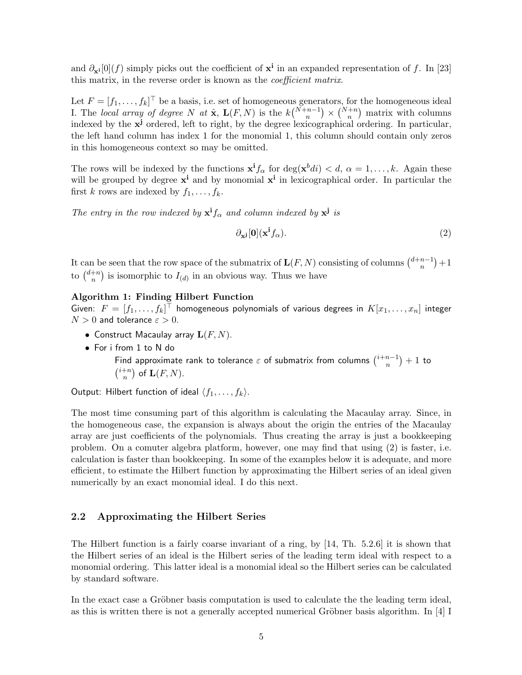and  $\partial_{\mathbf{x}^i}[0](f)$  simply picks out the coefficient of  $\mathbf{x}^i$  in an expanded representation of f. In [23] this matrix, in the reverse order is known as the coefficient matrix.

Let  $F = [f_1, \ldots, f_k]^\top$  be a basis, i.e. set of homogeneous generators, for the homogeneous ideal I. The local array of degree N at  $\hat{\mathbf{x}}$ ,  $\mathbf{L}(F,N)$  is the  $k\binom{N+n-1}{n} \times \binom{N+n}{n}$  matrix with columns indexed by the  $x^j$  ordered, left to right, by the degree lexicographical ordering. In particular, the left hand column has index 1 for the monomial 1, this column should contain only zeros in this homogeneous context so may be omitted.

The rows will be indexed by the functions  $x^i f_\alpha$  for  $\deg(x^b di) < d$ ,  $\alpha = 1, \ldots, k$ . Again these will be grouped by degree  $x^i$  and by monomial  $x^i$  in lexicographical order. In particular the first k rows are indexed by  $f_1, \ldots, f_k$ .

The entry in the row indexed by  $x^{i} f_{\alpha}$  and column indexed by  $x^{j}$  is

$$
\partial_{\mathbf{x}^{\mathbf{j}}}[0](\mathbf{x}^{\mathbf{i}}f_{\alpha}).\tag{2}
$$

It can be seen that the row space of the submatrix of  $\mathbf{L}(F, N)$  consisting of columns  $\binom{d+n-1}{n}$  $\binom{n-1}{n} + 1$ to  $\binom{d+n}{n}$  ${n \choose n}$  is isomorphic to  $I_{(d)}$  in an obvious way. Thus we have

#### Algorithm 1: Finding Hilbert Function

Given:  $F=[f_1,\ldots,f_k]^\top$  homogeneous polynomials of various degrees in  $K[x_1,\ldots,x_n]$  integer  $N > 0$  and tolerance  $\varepsilon > 0$ .

- Construct Macaulay array  $\mathbf{L}(F, N)$ .
- For i from 1 to N do Find approximate rank to tolerance  $\varepsilon$  of submatrix from columns  $\binom{i+n-1}{n}$  $\binom{n-1}{n}+1$  to  $\binom{i+n}{n}$  $\binom{+n}{n}$  of  $\mathbf{L}(F,N)$ .

Output: Hilbert function of ideal  $\langle f_1, \ldots, f_k \rangle$ .

The most time consuming part of this algorithm is calculating the Macaulay array. Since, in the homogeneous case, the expansion is always about the origin the entries of the Macaulay array are just coefficients of the polynomials. Thus creating the array is just a bookkeeping problem. On a comuter algebra platform, however, one may find that using (2) is faster, i.e. calculation is faster than bookkeeping. In some of the examples below it is adequate, and more efficient, to estimate the Hilbert function by approximating the Hilbert series of an ideal given numerically by an exact monomial ideal. I do this next.

### 2.2 Approximating the Hilbert Series

The Hilbert function is a fairly coarse invariant of a ring, by [14, Th. 5.2.6] it is shown that the Hilbert series of an ideal is the Hilbert series of the leading term ideal with respect to a monomial ordering. This latter ideal is a monomial ideal so the Hilbert series can be calculated by standard software.

In the exact case a Gröbner basis computation is used to calculate the the leading term ideal, as this is written there is not a generally accepted numerical Gröbner basis algorithm. In  $[4]$  I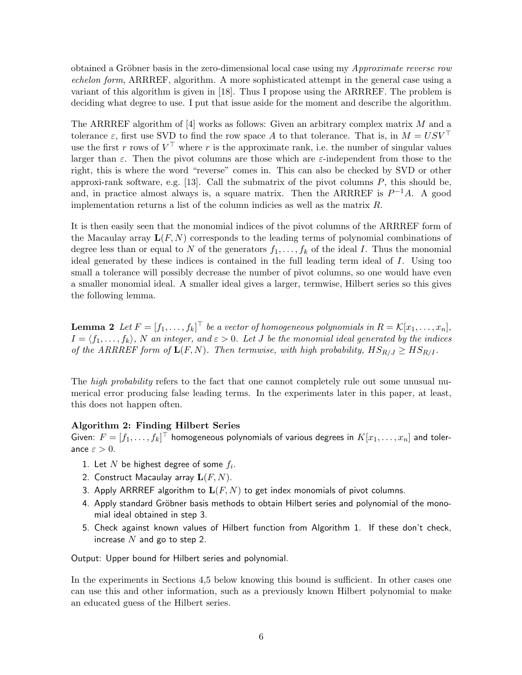obtained a Gröbner basis in the zero-dimensional local case using my *Approximate reverse row* echelon form, ARRREF, algorithm. A more sophisticated attempt in the general case using a variant of this algorithm is given in [18]. Thus I propose using the ARRREF. The problem is deciding what degree to use. I put that issue aside for the moment and describe the algorithm.

The ARRREF algorithm of  $[4]$  works as follows: Given an arbitrary complex matrix M and a tolerance  $\varepsilon$ , first use SVD to find the row space A to that tolerance. That is, in  $M = USV^{\top}$ use the first r rows of  $V^{\top}$  where r is the approximate rank, i.e. the number of singular values larger than  $\varepsilon$ . Then the pivot columns are those which are  $\varepsilon$ -independent from those to the right, this is where the word "reverse" comes in. This can also be checked by SVD or other approxi-rank software, e.g.  $[13]$ . Call the submatrix of the pivot columns  $P$ , this should be, and, in practice almost always is, a square matrix. Then the ARRREF is  $P^{-1}A$ . A good implementation returns a list of the column indicies as well as the matrix  $R$ .

It is then easily seen that the monomial indices of the pivot columns of the ARRREF form of the Macaulay array  $\mathbf{L}(F, N)$  corresponds to the leading terms of polynomial combinations of degree less than or equal to N of the generators  $f_1, \ldots, f_k$  of the ideal I. Thus the monomial ideal generated by these indices is contained in the full leading term ideal of I. Using too small a tolerance will possibly decrease the number of pivot columns, so one would have even a smaller monomial ideal. A smaller ideal gives a larger, termwise, Hilbert series so this gives the following lemma.

**Lemma 2** Let  $F = [f_1, \ldots, f_k]^T$  be a vector of homogeneous polynomials in  $R = \mathcal{K}[x_1, \ldots, x_n],$  $I = \langle f_1, \ldots, f_k \rangle$ , N an integer, and  $\varepsilon > 0$ . Let J be the monomial ideal generated by the indices of the ARRREF form of  $\mathbf{L}(F, N)$ . Then termwise, with high probability,  $HS_{R/J} \geq HS_{R/I}$ .

The *high probability* refers to the fact that one cannot completely rule out some unusual numerical error producing false leading terms. In the experiments later in this paper, at least, this does not happen often.

#### Algorithm 2: Finding Hilbert Series

Given:  $F=[f_1,\ldots,f_k]^\top$  homogeneous polynomials of various degrees in  $K[x_1,\ldots,x_n]$  and tolerance  $\varepsilon > 0$ .

- 1. Let  $N$  be highest degree of some  $f_i$ .
- 2. Construct Macaulay array  $\mathbf{L}(F, N)$ .
- 3. Apply ARRREF algorithm to  $\mathbf{L}(F, N)$  to get index monomials of pivot columns.
- 4. Apply standard Gröbner basis methods to obtain Hilbert series and polynomial of the monomial ideal obtained in step 3.
- 5. Check against known values of Hilbert function from Algorithm 1. If these don't check, increase  $N$  and go to step 2.

Output: Upper bound for Hilbert series and polynomial.

In the experiments in Sections 4,5 below knowing this bound is sufficient. In other cases one can use this and other information, such as a previously known Hilbert polynomial to make an educated guess of the Hilbert series.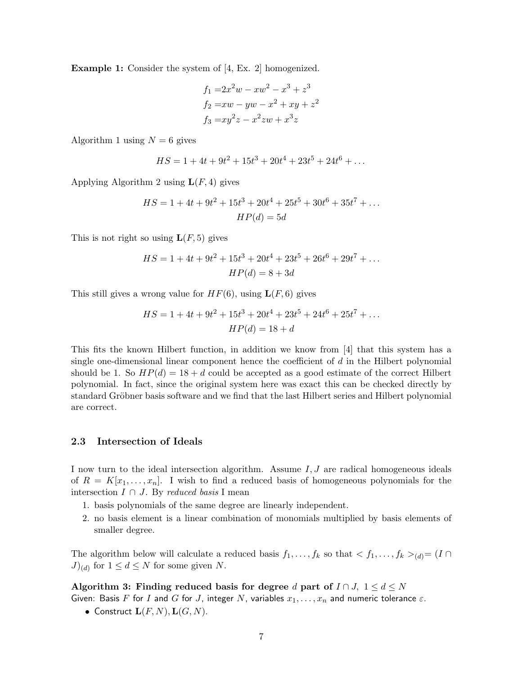Example 1: Consider the system of [4, Ex. 2] homogenized.

$$
f_1 = 2x^2w - xw^2 - x^3 + z^3
$$
  
\n
$$
f_2 = xw - yw - x^2 + xy + z^2
$$
  
\n
$$
f_3 = xy^2z - x^2zw + x^3z
$$

Algorithm 1 using  $N = 6$  gives

$$
HS = 1 + 4t + 9t^2 + 15t^3 + 20t^4 + 23t^5 + 24t^6 + \dots
$$

Applying Algorithm 2 using  $\mathbf{L}(F, 4)$  gives

$$
HS = 1 + 4t + 9t2 + 15t3 + 20t4 + 25t5 + 30t6 + 35t7 + ...
$$
  

$$
HP(d) = 5d
$$

This is not right so using  $\mathbf{L}(F, 5)$  gives

$$
HS = 1 + 4t + 9t^2 + 15t^3 + 20t^4 + 23t^5 + 26t^6 + 29t^7 + \dots
$$
  

$$
HP(d) = 8 + 3d
$$

This still gives a wrong value for  $HF(6)$ , using  $\mathbf{L}(F, 6)$  gives

$$
HS = 1 + 4t + 9t2 + 15t3 + 20t4 + 23t5 + 24t6 + 25t7 + ...
$$
  

$$
HP(d) = 18 + d
$$

This fits the known Hilbert function, in addition we know from [4] that this system has a single one-dimensional linear component hence the coefficient of  $d$  in the Hilbert polynomial should be 1. So  $HP(d) = 18 + d$  could be accepted as a good estimate of the correct Hilbert polynomial. In fact, since the original system here was exact this can be checked directly by standard Gröbner basis software and we find that the last Hilbert series and Hilbert polynomial are correct.

#### 2.3 Intersection of Ideals

I now turn to the ideal intersection algorithm. Assume  $I, J$  are radical homogeneous ideals of  $R = K[x_1, \ldots, x_n]$ . I wish to find a reduced basis of homogeneous polynomials for the intersection  $I \cap J$ . By reduced basis I mean

- 1. basis polynomials of the same degree are linearly independent.
- 2. no basis element is a linear combination of monomials multiplied by basis elements of smaller degree.

The algorithm below will calculate a reduced basis  $f_1, \ldots, f_k$  so that  $\langle f_1, \ldots, f_k \rangle_{(d)} = (I \cap$  $J)_{(d)}$  for  $1 \leq d \leq N$  for some given N.

Algorithm 3: Finding reduced basis for degree d part of  $I \cap J$ ,  $1 \le d \le N$ 

Given: Basis F for I and G for J, integer N, variables  $x_1, \ldots, x_n$  and numeric tolerance  $\varepsilon$ .

• Construct  $\mathbf{L}(F, N), \mathbf{L}(G, N)$ .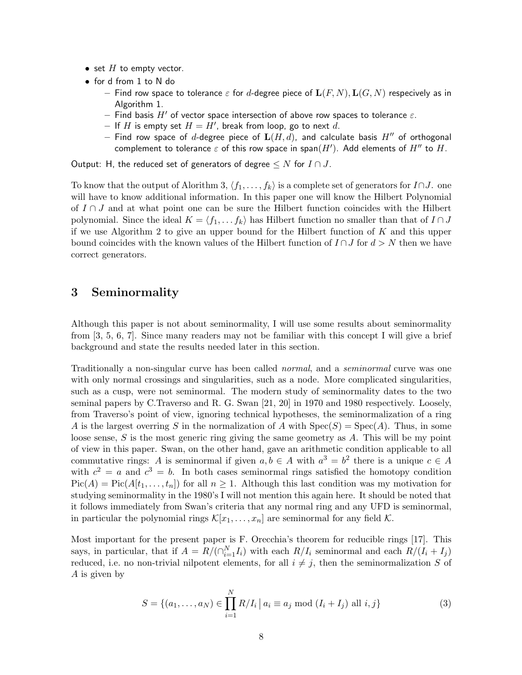- set  $H$  to empty vector.
- for d from 1 to N do
	- Find row space to tolerance  $\varepsilon$  for d-degree piece of  $\mathbf{L}(F, N)$ ,  $\mathbf{L}(G, N)$  respecively as in Algorithm 1.
	- Find basis H' of vector space intersection of above row spaces to tolerance  $\varepsilon$ .
	- If H is empty set  $H = H'$ , break from loop, go to next d.
	- Find row space of d-degree piece of  $L(H, d)$ , and calculate basis  $H''$  of orthogonal complement to tolerance  $\varepsilon$  of this row space in span $(H')$ . Add elements of  $H''$  to  $H$ .

Output: H, the reduced set of generators of degree  $\leq N$  for  $I \cap J$ .

To know that the output of Alorithm 3,  $\langle f_1, \ldots, f_k \rangle$  is a complete set of generators for  $I \cap J$ . one will have to know additional information. In this paper one will know the Hilbert Polynomial of  $I \cap J$  and at what point one can be sure the Hilbert function coincides with the Hilbert polynomial. Since the ideal  $K = \langle f_1, \ldots, f_k \rangle$  has Hilbert function no smaller than that of  $I \cap J$ if we use Algorithm 2 to give an upper bound for the Hilbert function of  $K$  and this upper bound coincides with the known values of the Hilbert function of  $I \cap J$  for  $d > N$  then we have correct generators.

# 3 Seminormality

Although this paper is not about seminormality, I will use some results about seminormality from [3, 5, 6, 7]. Since many readers may not be familiar with this concept I will give a brief background and state the results needed later in this section.

Traditionally a non-singular curve has been called normal, and a seminormal curve was one with only normal crossings and singularities, such as a node. More complicated singularities, such as a cusp, were not seminormal. The modern study of seminormality dates to the two seminal papers by C.Traverso and R. G. Swan [21, 20] in 1970 and 1980 respectively. Loosely, from Traverso's point of view, ignoring technical hypotheses, the seminormalization of a ring A is the largest overring S in the normalization of A with  $Spec(S) = Spec(A)$ . Thus, in some loose sense, S is the most generic ring giving the same geometry as A. This will be my point of view in this paper. Swan, on the other hand, gave an arithmetic condition applicable to all commutative rings: A is seminormal if given  $a, b \in A$  with  $a^3 = b^2$  there is a unique  $c \in A$ with  $c^2 = a$  and  $c^3 = b$ . In both cases seminormal rings satisfied the homotopy condition  $Pic(A) = Pic(A[t_1, \ldots, t_n])$  for all  $n \geq 1$ . Although this last condition was my motivation for studying seminormality in the 1980's I will not mention this again here. It should be noted that it follows immediately from Swan's criteria that any normal ring and any UFD is seminormal, in particular the polynomial rings  $\mathcal{K}[x_1, \ldots, x_n]$  are seminormal for any field  $\mathcal{K}$ .

Most important for the present paper is F. Orecchia's theorem for reducible rings [17]. This says, in particular, that if  $A = R/(\bigcap_{i=1}^{N} I_i)$  with each  $R/I_i$  seminormal and each  $R/(I_i + I_j)$ reduced, i.e. no non-trivial nilpotent elements, for all  $i \neq j$ , then the seminormalization S of A is given by

$$
S = \{(a_1, \dots, a_N) \in \prod_{i=1}^{N} R/I_i \mid a_i \equiv a_j \bmod (I_i + I_j) \text{ all } i, j\}
$$
(3)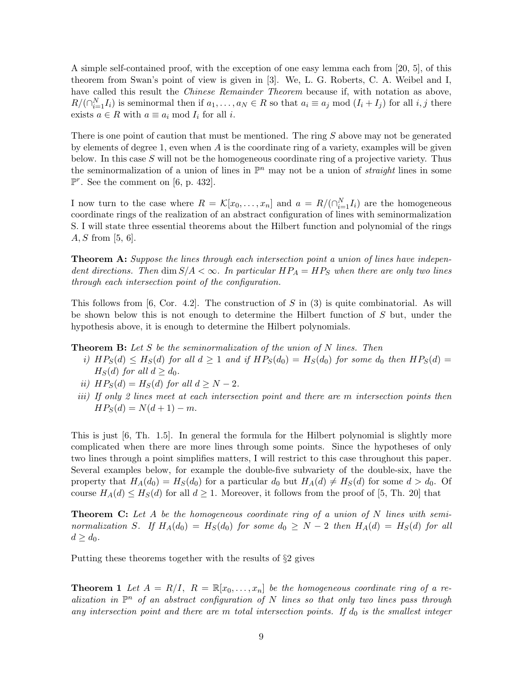A simple self-contained proof, with the exception of one easy lemma each from [20, 5], of this theorem from Swan's point of view is given in [3]. We, L. G. Roberts, C. A. Weibel and I, have called this result the *Chinese Remainder Theorem* because if, with notation as above,  $R/(\bigcap_{i=1}^{N} I_i)$  is seminormal then if  $a_1, \ldots, a_N \in R$  so that  $a_i \equiv a_j \bmod (I_i + I_j)$  for all  $i, j$  there exists  $a \in R$  with  $a \equiv a_i \mod I_i$  for all i.

There is one point of caution that must be mentioned. The ring S above may not be generated by elements of degree 1, even when A is the coordinate ring of a variety, examples will be given below. In this case  $S$  will not be the homogeneous coordinate ring of a projective variety. Thus the seminormalization of a union of lines in  $\mathbb{P}^n$  may not be a union of *straight* lines in some  $\mathbb{P}^r$ . See the comment on [6, p. 432].

I now turn to the case where  $R = \mathcal{K}[x_0, \ldots, x_n]$  and  $a = R/(\bigcap_{i=1}^N I_i)$  are the homogeneous coordinate rings of the realization of an abstract configuration of lines with seminormalization S. I will state three essential theorems about the Hilbert function and polynomial of the rings  $A, S$  from [5, 6].

**Theorem A:** Suppose the lines through each intersection point a union of lines have independent directions. Then dim  $S/A < \infty$ . In particular  $HP_A = HP_S$  when there are only two lines through each intersection point of the configuration.

This follows from [6, Cor. 4.2]. The construction of S in  $(3)$  is quite combinatorial. As will be shown below this is not enough to determine the Hilbert function of S but, under the hypothesis above, it is enough to determine the Hilbert polynomials.

**Theorem B:** Let S be the seminormalization of the union of N lines. Then

- i)  $HP_S(d) \leq H_S(d)$  for all  $d \geq 1$  and if  $HP_S(d_0) = H_S(d_0)$  for some  $d_0$  then  $HP_S(d) =$  $H<sub>S</sub>(d)$  for all  $d > d<sub>0</sub>$ .
- ii)  $HP_S(d) = H_S(d)$  for all  $d \geq N 2$ .
- iii) If only 2 lines meet at each intersection point and there are m intersection points then  $HP_S(d) = N(d+1) - m.$

This is just [6, Th. 1.5]. In general the formula for the Hilbert polynomial is slightly more complicated when there are more lines through some points. Since the hypotheses of only two lines through a point simplifies matters, I will restrict to this case throughout this paper. Several examples below, for example the double-five subvariety of the double-six, have the property that  $H_A(d_0) = H_S(d_0)$  for a particular  $d_0$  but  $H_A(d) \neq H_S(d)$  for some  $d > d_0$ . Of course  $H_A(d) \leq H_S(d)$  for all  $d \geq 1$ . Moreover, it follows from the proof of [5, Th. 20] that

**Theorem C:** Let A be the homogeneous coordinate ring of a union of N lines with seminormalization S. If  $H_A(d_0) = H_S(d_0)$  for some  $d_0 \geq N-2$  then  $H_A(d) = H_S(d)$  for all  $d \geq d_0$ .

Putting these theorems together with the results of §2 gives

**Theorem 1** Let  $A = R/I$ ,  $R = \mathbb{R}[x_0, \ldots, x_n]$  be the homogeneous coordinate ring of a realization in  $\mathbb{P}^n$  of an abstract configuration of N lines so that only two lines pass through any intersection point and there are m total intersection points. If  $d_0$  is the smallest integer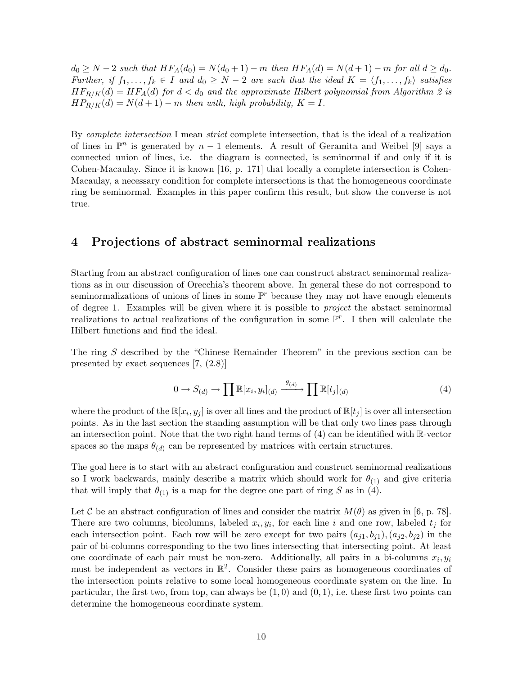$d_0 \ge N - 2$  such that  $HF_A(d_0) = N(d_0 + 1) - m$  then  $HF_A(d) = N(d+1) - m$  for all  $d \ge d_0$ . Further, if  $f_1, \ldots, f_k \in I$  and  $d_0 \geq N-2$  are such that the ideal  $K = \langle f_1, \ldots, f_k \rangle$  satisfies  $HF_{R/K}(d) = HF_A(d)$  for  $d < d_0$  and the approximate Hilbert polynomial from Algorithm 2 is  $HP_{R/K}(d) = N(d+1) - m$  then with, high probability,  $K = I$ .

By *complete intersection* I mean *strict* complete intersection, that is the ideal of a realization of lines in  $\mathbb{P}^n$  is generated by  $n-1$  elements. A result of Geramita and Weibel [9] says a connected union of lines, i.e. the diagram is connected, is seminormal if and only if it is Cohen-Macaulay. Since it is known [16, p. 171] that locally a complete intersection is Cohen-Macaulay, a necessary condition for complete intersections is that the homogeneous coordinate ring be seminormal. Examples in this paper confirm this result, but show the converse is not true.

### 4 Projections of abstract seminormal realizations

Starting from an abstract configuration of lines one can construct abstract seminormal realizations as in our discussion of Orecchia's theorem above. In general these do not correspond to seminormalizations of unions of lines in some  $\mathbb{P}^r$  because they may not have enough elements of degree 1. Examples will be given where it is possible to project the abstact seminormal realizations to actual realizations of the configuration in some  $\mathbb{P}^r$ . I then will calculate the Hilbert functions and find the ideal.

The ring S described by the "Chinese Remainder Theorem" in the previous section can be presented by exact sequences [7, (2.8)]

$$
0 \to S_{(d)} \to \prod \mathbb{R}[x_i, y_i]_{(d)} \xrightarrow{\theta_{(d)}} \prod \mathbb{R}[t_j]_{(d)}
$$
(4)

where the product of the  $\mathbb{R}[x_i, y_j]$  is over all lines and the product of  $\mathbb{R}[t_j]$  is over all intersection points. As in the last section the standing assumption will be that only two lines pass through an intersection point. Note that the two right hand terms of  $(4)$  can be identified with R-vector spaces so the maps  $\theta_{(d)}$  can be represented by matrices with certain structures.

The goal here is to start with an abstract configuration and construct seminormal realizations so I work backwards, mainly describe a matrix which should work for  $\theta_{(1)}$  and give criteria that will imply that  $\theta_{(1)}$  is a map for the degree one part of ring S as in (4).

Let C be an abstract configuration of lines and consider the matrix  $M(\theta)$  as given in [6, p. 78]. There are two columns, bicolumns, labeled  $x_i, y_i$ , for each line i and one row, labeled  $t_j$  for each intersection point. Each row will be zero except for two pairs  $(a_{i1}, b_{i1}), (a_{i2}, b_{i2})$  in the pair of bi-columns corresponding to the two lines intersecting that intersecting point. At least one coordinate of each pair must be non-zero. Additionally, all pairs in a bi-columns  $x_i, y_i$ must be independent as vectors in  $\mathbb{R}^2$ . Consider these pairs as homogeneous coordinates of the intersection points relative to some local homogeneous coordinate system on the line. In particular, the first two, from top, can always be  $(1, 0)$  and  $(0, 1)$ , i.e. these first two points can determine the homogeneous coordinate system.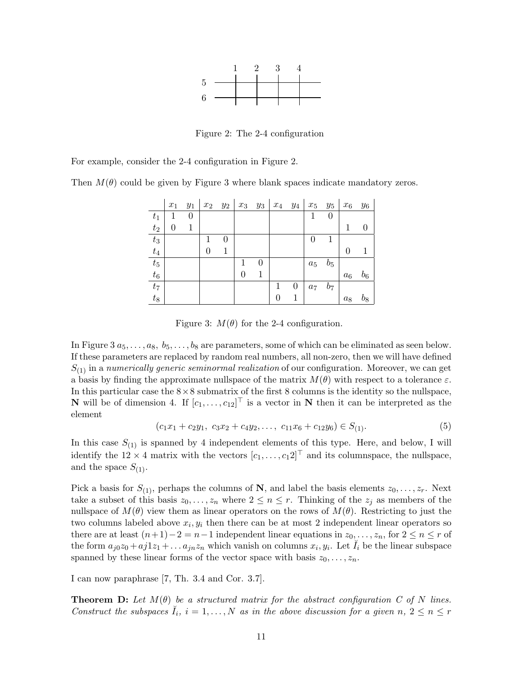

Figure 2: The 2-4 configuration

For example, consider the 2-4 configuration in Figure 2.

Then  $M(\theta)$  could be given by Figure 3 where blank spaces indicate mandatory zeros.

|             | $x_1$ | $y_1$ | $x_2$ | $y_2$ | $x_3$ | $y_3$ | $x_4$ $y_4$ |   | $x_5$              | $y_5$            | $x_6$    | $y_6$ |
|-------------|-------|-------|-------|-------|-------|-------|-------------|---|--------------------|------------------|----------|-------|
| $t_1$       | 1     | 0     |       |       |       |       |             |   |                    | $\boldsymbol{0}$ |          |       |
| $t_2$       | 0     |       |       |       |       |       |             |   |                    |                  | 1        | 0     |
| $t_3$       |       |       |       | 0     |       |       |             |   | 0                  |                  |          |       |
| $t_{\rm 4}$ |       |       |       |       |       |       |             |   |                    |                  | $\Omega$ |       |
| $t_{\rm 5}$ |       |       |       |       |       | 0     |             |   | $\boldsymbol{a_5}$ | $b_5$            |          |       |
| $t_6$       |       |       |       |       |       |       |             |   |                    |                  | $a_6$    | $b_6$ |
| $t_7$       |       |       |       |       |       |       |             | 0 | $a_7$              | $b_7$            |          |       |
| $t_8$       |       |       |       |       |       |       | 0           | 1 |                    |                  | $a_8$    | $b_8$ |

Figure 3:  $M(\theta)$  for the 2-4 configuration.

In Figure 3  $a_5, \ldots, a_8, b_5, \ldots, b_8$  are parameters, some of which can be eliminated as seen below. If these parameters are replaced by random real numbers, all non-zero, then we will have defined  $S_{(1)}$  in a numerically generic seminormal realization of our configuration. Moreover, we can get a basis by finding the approximate nullspace of the matrix  $M(\theta)$  with respect to a tolerance  $\varepsilon$ . In this particular case the  $8\times 8$  submatrix of the first 8 columns is the identity so the nullspace, **N** will be of dimension 4. If  $[c_1, \ldots, c_{12}]^\top$  is a vector in **N** then it can be interpreted as the element

$$
(c_1x_1 + c_2y_1, c_3x_2 + c_4y_2, \dots, c_{11}x_6 + c_{12}y_6) \in S_{(1)}.
$$
 (5)

In this case  $S_{(1)}$  is spanned by 4 independent elements of this type. Here, and below, I will identify the  $12 \times 4$  matrix with the vectors  $[c_1, \ldots, c_1 2]^\top$  and its columnspace, the nullspace, and the space  $S_{(1)}$ .

Pick a basis for  $S_{(1)}$ , perhaps the columns of N, and label the basis elements  $z_0, \ldots, z_r$ . Next take a subset of this basis  $z_0, \ldots, z_n$  where  $2 \leq n \leq r$ . Thinking of the  $z_j$  as members of the nullspace of  $M(\theta)$  view them as linear operators on the rows of  $M(\theta)$ . Restricting to just the two columns labeled above  $x_i, y_i$  then there can be at most 2 independent linear operators so there are at least  $(n+1)-2=n-1$  independent linear equations in  $z_0, \ldots, z_n$ , for  $2 \leq n \leq r$  of the form  $a_{j0}z_0 + aj1z_1 + \ldots a_{jn}z_n$  which vanish on columns  $x_i, y_i$ . Let  $\check{I}_i$  be the linear subspace spanned by these linear forms of the vector space with basis  $z_0, \ldots, z_n$ .

I can now paraphrase [7, Th. 3.4 and Cor. 3.7].

**Theorem D:** Let  $M(\theta)$  be a structured matrix for the abstract configuration C of N lines. Construct the subspaces  $\check{I}_i$ ,  $i = 1, ..., N$  as in the above discussion for a given  $n, 2 \leq n \leq r$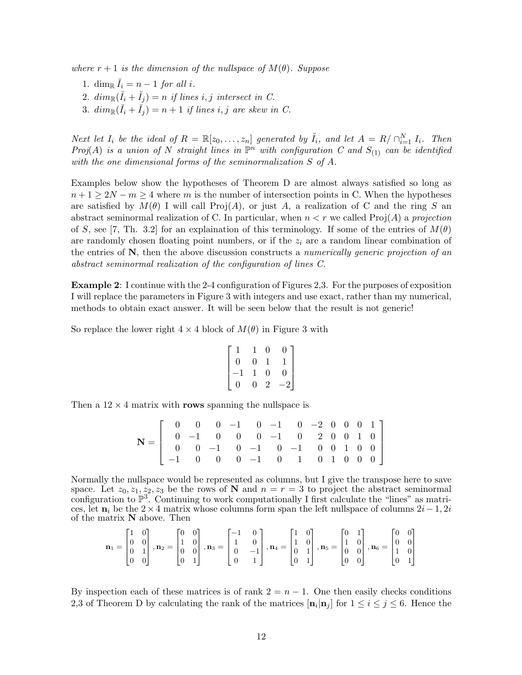where  $r + 1$  is the dimension of the nullspace of  $M(\theta)$ . Suppose

- 1. dim<sub>R</sub>  $\check{I}_i = n 1$  for all i.
- 2.  $dim_{\mathbb{R}}(\breve{I}_i + \breve{I}_j) = n$  if lines i, j intersect in C.
- 3.  $dim_{\mathbb{R}}(\breve{I}_i + \breve{I}_j) = n + 1$  if lines i, j are skew in C.

Next let  $I_i$  be the ideal of  $R = \mathbb{R}[z_0, \ldots, z_n]$  generated by  $\check{I}_i$ , and let  $A = R / \bigcap_{i=1}^N I_i$ . Then Proj(A) is a union of N straight lines in  $\mathbb{P}^n$  with configuration C and  $S_{(1)}$  can be identified with the one dimensional forms of the seminormalization S of A.

Examples below show the hypotheses of Theorem D are almost always satisfied so long as  $n+1 \geq 2N-m \geq 4$  where m is the number of intersection points in C. When the hypotheses are satisfied by  $M(\theta)$  I will call Proj(A), or just A, a realization of C and the ring S an abstract seminormal realization of C. In particular, when  $n < r$  we called Proj(A) a projection of S, see [7, Th. 3.2] for an explaination of this terminology. If some of the entries of  $M(\theta)$ are randomly chosen floating point numbers, or if the  $z_i$  are a random linear combination of the entries of  $N$ , then the above discussion constructs a numerically generic projection of an abstract seminormal realization of the configuration of lines C.

Example 2: I continue with the 2-4 configuration of Figures 2,3. For the purposes of exposition I will replace the parameters in Figure 3 with integers and use exact, rather than my numerical, methods to obtain exact answer. It will be seen below that the result is not generic!

So replace the lower right  $4 \times 4$  block of  $M(\theta)$  in Figure 3 with

$$
\begin{bmatrix} 1 & 1 & 0 & 0 \\ 0 & 0 & 1 & 1 \\ -1 & 1 & 0 & 0 \\ 0 & 0 & 2 & -2 \end{bmatrix}
$$

Then a  $12 \times 4$  matrix with rows spanning the nullspace is

$$
\mathbf{N} = \left[ \begin{array}{cccccccc} 0 & 0 & 0 & -1 & 0 & -1 & 0 & -2 & 0 & 0 & 0 & 1 \\ 0 & -1 & 0 & 0 & 0 & -1 & 0 & 2 & 0 & 0 & 1 & 0 \\ 0 & 0 & -1 & 0 & -1 & 0 & -1 & 0 & 0 & 1 & 0 & 0 \\ -1 & 0 & 0 & 0 & -1 & 0 & 1 & 0 & 1 & 0 & 0 & 0 \end{array} \right]
$$

Normally the nullspace would be represented as columns, but I give the transpose here to save space. Let  $z_0, z_1, z_2, z_3$  be the rows of N and  $n = r = 3$  to project the abstract seminormal configuration to  $\mathbb{P}^3$ . Continuing to work computationally I first calculate the "lines" as matrices, let  $n_i$  be the 2 × 4 matrix whose columns form span the left nullspace of columns  $2i-1, 2i$ of the matrix N above. Then

$$
\mathbf{n}_1 = \begin{bmatrix} 1 & 0 \\ 0 & 0 \\ 0 & 1 \\ 0 & 0 \end{bmatrix}, \mathbf{n}_2 = \begin{bmatrix} 0 & 0 \\ 1 & 0 \\ 0 & 0 \\ 0 & 1 \end{bmatrix}, \mathbf{n}_3 = \begin{bmatrix} -1 & 0 \\ 1 & 0 \\ 0 & -1 \\ 0 & 1 \end{bmatrix}, \mathbf{n}_4 = \begin{bmatrix} 1 & 0 \\ 1 & 0 \\ 0 & 1 \\ 0 & 1 \end{bmatrix}, \mathbf{n}_5 = \begin{bmatrix} 0 & 1 \\ 1 & 0 \\ 0 & 0 \\ 0 & 0 \end{bmatrix}, \mathbf{n}_6 = \begin{bmatrix} 0 & 0 \\ 0 & 0 \\ 1 & 0 \\ 0 & 1 \end{bmatrix}
$$

By inspection each of these matrices is of rank  $2 = n - 1$ . One then easily checks conditions 2,3 of Theorem D by calculating the rank of the matrices  $[\mathbf{n}_i | \mathbf{n}_j]$  for  $1 \le i \le j \le 6$ . Hence the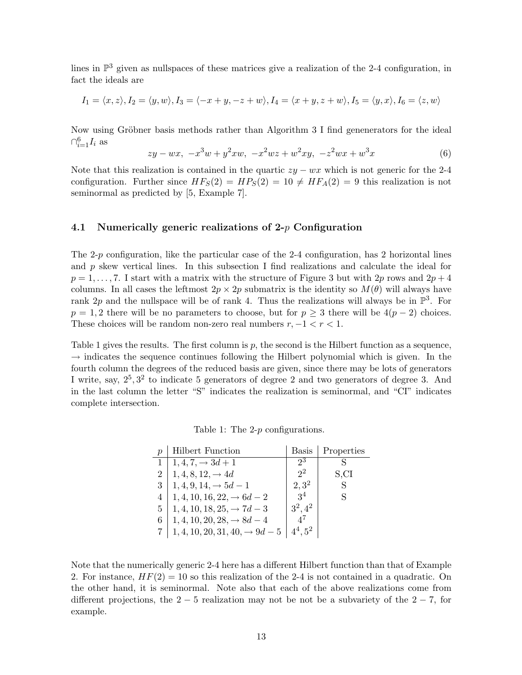lines in  $\mathbb{P}^3$  given as nullspaces of these matrices give a realization of the 2-4 configuration, in fact the ideals are

$$
I_1 = \langle x, z \rangle, I_2 = \langle y, w \rangle, I_3 = \langle -x + y, -z + w \rangle, I_4 = \langle x + y, z + w \rangle, I_5 = \langle y, x \rangle, I_6 = \langle z, w \rangle
$$

Now using Gröbner basis methods rather than Algorithm 3 I find genenerators for the ideal  $\bigcap_{i=1}^6 I_i$  as

$$
zy - wx, -x3w + y2xw, -x2wz + w2xy, -z2wx + w3x
$$
 (6)

Note that this realization is contained in the quartic  $zy - wx$  which is not generic for the 2-4 configuration. Further since  $HF_S(2) = HP_S(2) = 10 \neq HF_A(2) = 9$  this realization is not seminormal as predicted by [5, Example 7].

#### 4.1 Numerically generic realizations of 2- $p$  Configuration

The 2-p configuration, like the particular case of the 2-4 configuration, has 2 horizontal lines and  $p$  skew vertical lines. In this subsection I find realizations and calculate the ideal for  $p = 1, \ldots, 7$ . I start with a matrix with the structure of Figure 3 but with 2p rows and  $2p + 4$ columns. In all cases the leftmost  $2p \times 2p$  submatrix is the identity so  $M(\theta)$  will always have rank 2p and the nullspace will be of rank 4. Thus the realizations will always be in  $\mathbb{P}^3$ . For  $p = 1, 2$  there will be no parameters to choose, but for  $p \geq 3$  there will be  $4(p-2)$  choices. These choices will be random non-zero real numbers  $r, -1 < r < 1$ .

Table 1 gives the results. The first column is  $p$ , the second is the Hilbert function as a sequence,  $\rightarrow$  indicates the sequence continues following the Hilbert polynomial which is given. In the fourth column the degrees of the reduced basis are given, since there may be lots of generators I write, say,  $2^5$ ,  $3^2$  to indicate 5 generators of degree 2 and two generators of degree 3. And in the last column the letter "S" indicates the realization is seminormal, and "CI" indicates complete intersection.

Table 1: The 2-p configurations.

|   | <b>Hilbert Function</b>                    | Basis          | Properties |
|---|--------------------------------------------|----------------|------------|
|   | $1, 4, 7, \rightarrow 3d + 1$              | $2^3$          |            |
|   | $1, 4, 8, 12, \rightarrow 4d$              | $2^2$          | S,CI       |
| 3 | $1, 4, 9, 14, \rightarrow 5d - 1$          | $2,3^2$        | S          |
|   | $1, 4, 10, 16, 22, \rightarrow 6d - 2$     | 3 <sup>4</sup> | S          |
| 5 | $1, 4, 10, 18, 25, \rightarrow 7d - 3$     | $3^2, 4^2$     |            |
| 6 | $1, 4, 10, 20, 28, \rightarrow 8d - 4$     | $4^{\prime}$   |            |
|   | $1, 4, 10, 20, 31, 40, \rightarrow 9d - 5$ | $4^4.5^2$      |            |

Note that the numerically generic 2-4 here has a different Hilbert function than that of Example 2. For instance,  $HF(2) = 10$  so this realization of the 2-4 is not contained in a quadratic. On the other hand, it is seminormal. Note also that each of the above realizations come from different projections, the  $2-5$  realization may not be not be a subvariety of the  $2-7$ , for example.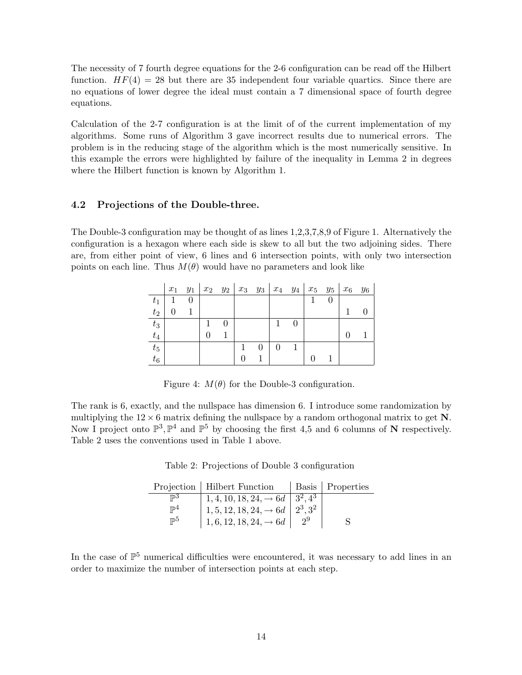The necessity of 7 fourth degree equations for the 2-6 configuration can be read off the Hilbert function.  $HF(4) = 28$  but there are 35 independent four variable quartics. Since there are no equations of lower degree the ideal must contain a 7 dimensional space of fourth degree equations.

Calculation of the 2-7 configuration is at the limit of of the current implementation of my algorithms. Some runs of Algorithm 3 gave incorrect results due to numerical errors. The problem is in the reducing stage of the algorithm which is the most numerically sensitive. In this example the errors were highlighted by failure of the inequality in Lemma 2 in degrees where the Hilbert function is known by Algorithm 1.

### 4.2 Projections of the Double-three.

The Double-3 configuration may be thought of as lines 1,2,3,7,8,9 of Figure 1. Alternatively the configuration is a hexagon where each side is skew to all but the two adjoining sides. There are, from either point of view, 6 lines and 6 intersection points, with only two intersection points on each line. Thus  $M(\theta)$  would have no parameters and look like

|       | $x_1$ | $y_1$ | $x_2$ $y_2$ |   |  | $x_3$ $y_3$   $x_4$ $y_4$ |   | $x_5$ $y_5$ |   | $x_6$ | Y6 |
|-------|-------|-------|-------------|---|--|---------------------------|---|-------------|---|-------|----|
| $t_1$ |       |       |             |   |  |                           |   |             | 0 |       |    |
| $t_2$ |       |       |             |   |  |                           |   |             |   |       |    |
| $t_3$ |       |       |             | 0 |  |                           | 0 |             |   |       |    |
| $t_4$ |       |       |             |   |  |                           |   |             |   |       |    |
| $t_5$ |       |       |             |   |  |                           |   |             |   |       |    |
| $t_6$ |       |       |             |   |  |                           |   |             |   |       |    |

Figure 4:  $M(\theta)$  for the Double-3 configuration.

The rank is 6, exactly, and the nullspace has dimension 6. I introduce some randomization by multiplying the  $12 \times 6$  matrix defining the nullspace by a random orthogonal matrix to get N. Now I project onto  $\mathbb{P}^3$ ,  $\mathbb{P}^4$  and  $\mathbb{P}^5$  by choosing the first 4,5 and 6 columns of N respectively. Table 2 uses the conventions used in Table 1 above.

|  |  |  | Table 2: Projections of Double 3 configuration |
|--|--|--|------------------------------------------------|
|--|--|--|------------------------------------------------|

|                | Projection   Hilbert Function                    |    | Basis   Properties |
|----------------|--------------------------------------------------|----|--------------------|
| $\mathbb{D}^3$ | $1, 4, 10, 18, 24, \rightarrow 6d \mid 3^2, 4^3$ |    |                    |
| $\mathbb{P}^4$ | $1, 5, 12, 18, 24, \rightarrow 6d \mid 2^3, 3^2$ |    |                    |
| $_{\rm ID5}$   | $1, 6, 12, 18, 24, \rightarrow 6d$               | 29 |                    |

In the case of  $\mathbb{P}^5$  numerical difficulties were encountered, it was necessary to add lines in an order to maximize the number of intersection points at each step.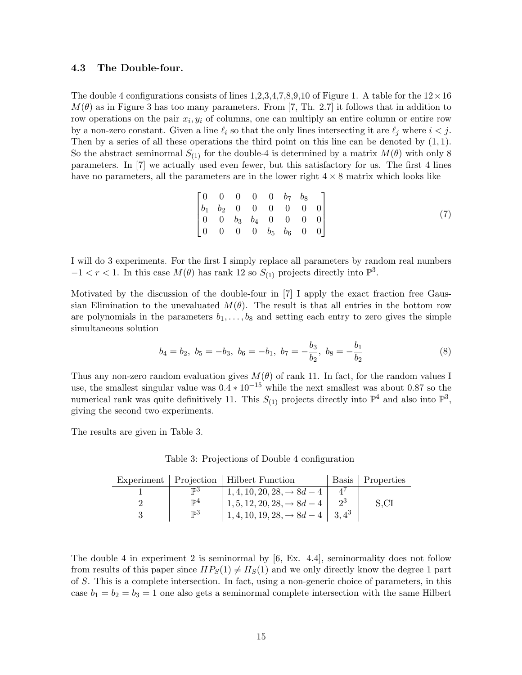#### 4.3 The Double-four.

The double 4 configurations consists of lines 1,2,3,4,7,8,9,10 of Figure 1. A table for the  $12 \times 16$  $M(\theta)$  as in Figure 3 has too many parameters. From [7, Th. 2.7] it follows that in addition to row operations on the pair  $x_i, y_i$  of columns, one can multiply an entire column or entire row by a non-zero constant. Given a line  $\ell_i$  so that the only lines intersecting it are  $\ell_j$  where  $i < j$ . Then by a series of all these operations the third point on this line can be denoted by  $(1, 1)$ . So the abstract seminormal  $S_{(1)}$  for the double-4 is determined by a matrix  $M(\theta)$  with only 8 parameters. In [7] we actually used even fewer, but this satisfactory for us. The first 4 lines have no parameters, all the parameters are in the lower right  $4 \times 8$  matrix which looks like

$$
\begin{bmatrix}\n0 & 0 & 0 & 0 & 0 & b_7 & b_8 \\
b_1 & b_2 & 0 & 0 & 0 & 0 & 0 & 0 \\
0 & 0 & b_3 & b_4 & 0 & 0 & 0 & 0 \\
0 & 0 & 0 & 0 & b_5 & b_6 & 0 & 0\n\end{bmatrix}
$$
\n(7)

I will do 3 experiments. For the first I simply replace all parameters by random real numbers  $-1 < r < 1$ . In this case  $M(\theta)$  has rank 12 so  $S_{(1)}$  projects directly into  $\mathbb{P}^3$ .

Motivated by the discussion of the double-four in [7] I apply the exact fraction free Gaussian Elimination to the unevaluated  $M(\theta)$ . The result is that all entries in the bottom row are polynomials in the parameters  $b_1, \ldots, b_8$  and setting each entry to zero gives the simple simultaneous solution

$$
b_4 = b_2, b_5 = -b_3, b_6 = -b_1, b_7 = -\frac{b_3}{b_2}, b_8 = -\frac{b_1}{b_2}
$$
 (8)

Thus any non-zero random evaluation gives  $M(\theta)$  of rank 11. In fact, for the random values I use, the smallest singular value was  $0.4 * 10^{-15}$  while the next smallest was about 0.87 so the numerical rank was quite definitively 11. This  $S_{(1)}$  projects directly into  $\mathbb{P}^4$  and also into  $\mathbb{P}^3$ , giving the second two experiments.

The results are given in Table 3.

|  |  |  | Table 3: Projections of Double 4 configuration |
|--|--|--|------------------------------------------------|
|--|--|--|------------------------------------------------|

|                | Experiment   Projection   Hilbert Function        | Basis   Properties |
|----------------|---------------------------------------------------|--------------------|
| $\mathbb{D}^3$ | $1, 4, 10, 20, 28, \rightarrow 8d - 4$            |                    |
| $\mathbb{P}^4$ | $1, 5, 12, 20, 28, \rightarrow 8d - 4$            | S.CI               |
| $\mathbb{P}^3$ | $1, 4, 10, 19, 28, \rightarrow 8d - 4$   $3, 4^3$ |                    |

The double 4 in experiment 2 is seminormal by [6, Ex. 4.4], seminormality does not follow from results of this paper since  $HP_S(1) \neq H_S(1)$  and we only directly know the degree 1 part of S. This is a complete intersection. In fact, using a non-generic choice of parameters, in this case  $b_1 = b_2 = b_3 = 1$  one also gets a seminormal complete intersection with the same Hilbert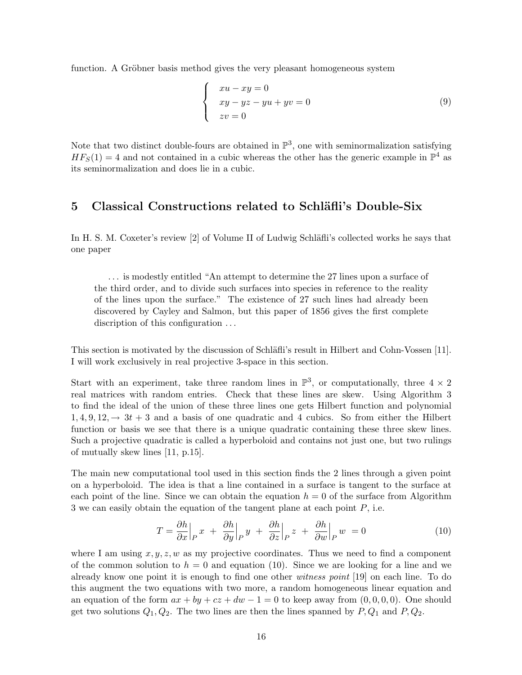function. A Gröbner basis method gives the very pleasant homogeneous system

$$
\begin{cases}\n xu - xy = 0 \\
 xy - yz - yu + yv = 0 \\
 zv = 0\n\end{cases}
$$
\n(9)

Note that two distinct double-fours are obtained in  $\mathbb{P}^3$ , one with seminormalization satisfying  $HF<sub>S</sub>(1) = 4$  and not contained in a cubic whereas the other has the generic example in  $\mathbb{P}^4$  as its seminormalization and does lie in a cubic.

# 5 Classical Constructions related to Schläfli's Double-Six

In H. S. M. Coxeter's review [2] of Volume II of Ludwig Schläfli's collected works he says that one paper

. . . is modestly entitled "An attempt to determine the 27 lines upon a surface of the third order, and to divide such surfaces into species in reference to the reality of the lines upon the surface." The existence of 27 such lines had already been discovered by Cayley and Salmon, but this paper of 1856 gives the first complete discription of this configuration ...

This section is motivated by the discussion of Schläfli's result in Hilbert and Cohn-Vossen [11]. I will work exclusively in real projective 3-space in this section.

Start with an experiment, take three random lines in  $\mathbb{P}^3$ , or computationally, three  $4 \times 2$ real matrices with random entries. Check that these lines are skew. Using Algorithm 3 to find the ideal of the union of these three lines one gets Hilbert function and polynomial  $1, 4, 9, 12, \rightarrow 3t + 3$  and a basis of one quadratic and 4 cubics. So from either the Hilbert function or basis we see that there is a unique quadratic containing these three skew lines. Such a projective quadratic is called a hyperboloid and contains not just one, but two rulings of mutually skew lines [11, p.15].

The main new computational tool used in this section finds the 2 lines through a given point on a hyperboloid. The idea is that a line contained in a surface is tangent to the surface at each point of the line. Since we can obtain the equation  $h = 0$  of the surface from Algorithm 3 we can easily obtain the equation of the tangent plane at each point  $P$ , i.e.

$$
T = \frac{\partial h}{\partial x}\Big|_P x + \frac{\partial h}{\partial y}\Big|_P y + \frac{\partial h}{\partial z}\Big|_P z + \frac{\partial h}{\partial w}\Big|_P w = 0 \tag{10}
$$

where I am using  $x, y, z, w$  as my projective coordinates. Thus we need to find a component of the common solution to  $h = 0$  and equation (10). Since we are looking for a line and we already know one point it is enough to find one other witness point [19] on each line. To do this augment the two equations with two more, a random homogeneous linear equation and an equation of the form  $ax + by + cz + dw - 1 = 0$  to keep away from  $(0, 0, 0, 0)$ . One should get two solutions  $Q_1, Q_2$ . The two lines are then the lines spanned by  $P, Q_1$  and  $P, Q_2$ .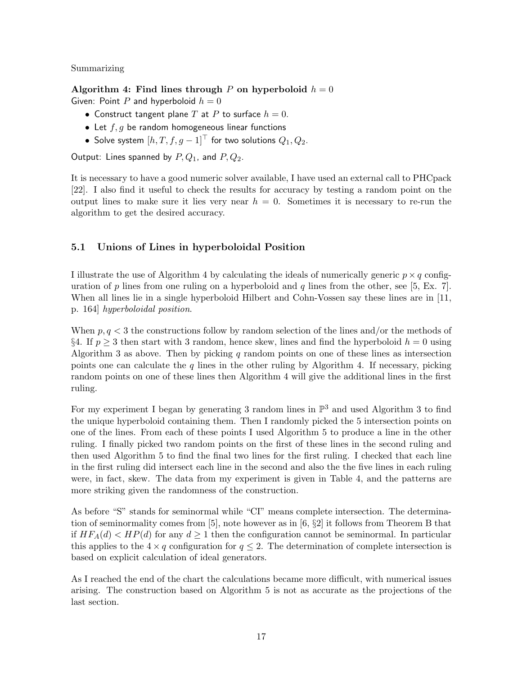Summarizing

Algorithm 4: Find lines through P on hyperboloid  $h = 0$ Given: Point P and hyperboloid  $h = 0$ 

- Construct tangent plane T at P to surface  $h = 0$ .
- Let  $f, g$  be random homogeneous linear functions
- Solve system  $[h, T, f, g-1]^\top$  for two solutions  $Q_1, Q_2$ .

Output: Lines spanned by  $P, Q_1$ , and  $P, Q_2$ .

It is necessary to have a good numeric solver available, I have used an external call to PHCpack [22]. I also find it useful to check the results for accuracy by testing a random point on the output lines to make sure it lies very near  $h = 0$ . Sometimes it is necessary to re-run the algorithm to get the desired accuracy.

# 5.1 Unions of Lines in hyperboloidal Position

I illustrate the use of Algorithm 4 by calculating the ideals of numerically generic  $p \times q$  configuration of p lines from one ruling on a hyperboloid and q lines from the other, see [5, Ex. 7]. When all lines lie in a single hyperboloid Hilbert and Cohn-Vossen say these lines are in [11, p. 164] hyperboloidal position.

When  $p, q < 3$  the constructions follow by random selection of the lines and/or the methods of §4. If  $p \geq 3$  then start with 3 random, hence skew, lines and find the hyperboloid  $h = 0$  using Algorithm 3 as above. Then by picking  $q$  random points on one of these lines as intersection points one can calculate the  $q$  lines in the other ruling by Algorithm 4. If necessary, picking random points on one of these lines then Algorithm 4 will give the additional lines in the first ruling.

For my experiment I began by generating 3 random lines in  $\mathbb{P}^3$  and used Algorithm 3 to find the unique hyperboloid containing them. Then I randomly picked the 5 intersection points on one of the lines. From each of these points I used Algorithm 5 to produce a line in the other ruling. I finally picked two random points on the first of these lines in the second ruling and then used Algorithm 5 to find the final two lines for the first ruling. I checked that each line in the first ruling did intersect each line in the second and also the the five lines in each ruling were, in fact, skew. The data from my experiment is given in Table 4, and the patterns are more striking given the randomness of the construction.

As before "S" stands for seminormal while "CI" means complete intersection. The determination of seminormality comes from [5], note however as in [6, §2] it follows from Theorem B that if  $HF_A(d) < HP(d)$  for any  $d \geq 1$  then the configuration cannot be seminormal. In particular this applies to the  $4 \times q$  configuration for  $q \leq 2$ . The determination of complete intersection is based on explicit calculation of ideal generators.

As I reached the end of the chart the calculations became more difficult, with numerical issues arising. The construction based on Algorithm 5 is not as accurate as the projections of the last section.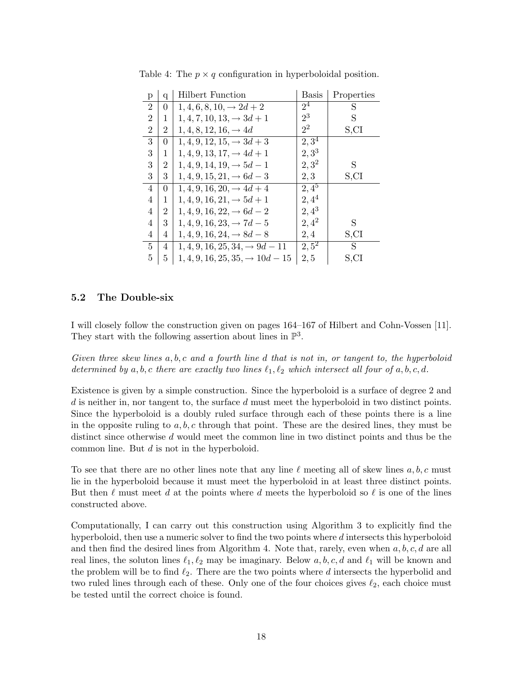| р              | q              | <b>Hilbert Function</b>                     | <b>Basis</b>       | Properties |
|----------------|----------------|---------------------------------------------|--------------------|------------|
| $\overline{2}$ | $\Omega$       | $1, 4, 6, 8, 10, \rightarrow 2d + 2$        | $2^{\overline{4}}$ | S          |
| $\overline{2}$ | 1              | $1, 4, 7, 10, 13, \rightarrow 3d + 1$       | $2^3$              | S          |
| $\overline{2}$ | 2              | $1, 4, 8, 12, 16, \rightarrow 4d$           | $2^2$              | S,CI       |
| 3              | 0              | $1, 4, 9, 12, 15, \rightarrow 3d + 3$       | $2,3^{4}$          |            |
| 3              | 1              | $1, 4, 9, 13, 17, \rightarrow 4d+1$         | $2,3^3$            |            |
| 3              | $\overline{2}$ | $1, 4, 9, 14, 19, \rightarrow 5d-1$         | $2,3^2$            | S          |
| 3              | 3              | $1, 4, 9, 15, 21, \rightarrow 6d - 3$       | 2,3                | S,CI       |
| 4              | 0              | $1, 4, 9, 16, 20, \rightarrow 4d + 4$       | $2,4^5$            |            |
| $\overline{4}$ | 1              | $1, 4, 9, 16, 21, \rightarrow 5d+1$         | $2,4^4$            |            |
| 4              | $\overline{2}$ | $1, 4, 9, 16, 22, \rightarrow 6d - 2$       | $2,4^3$            |            |
| 4              | 3              | $1, 4, 9, 16, 23, \rightarrow 7d - 5$       | $2,4^2$            | S          |
| 4              | 4              | $1, 4, 9, 16, 24, \rightarrow 8d - 8$       | 2,4                | S,CI       |
| $\overline{5}$ | 4              | $1, 4, 9, 16, 25, 34, \rightarrow 9d - 11$  | $2,5^2$            | S          |
| 5              | 5              | $1, 4, 9, 16, 25, 35, \rightarrow 10d - 15$ | 2, 5               | S,CI       |

Table 4: The  $p \times q$  configuration in hyperboloidal position.

### 5.2 The Double-six

I will closely follow the construction given on pages 164–167 of Hilbert and Cohn-Vossen [11]. They start with the following assertion about lines in  $\mathbb{P}^3$ .

Given three skew lines  $a, b, c$  and a fourth line d that is not in, or tangent to, the hyperboloid determined by a, b, c there are exactly two lines  $\ell_1, \ell_2$  which intersect all four of a, b, c, d.

Existence is given by a simple construction. Since the hyperboloid is a surface of degree 2 and  $d$  is neither in, nor tangent to, the surface  $d$  must meet the hyperboloid in two distinct points. Since the hyperboloid is a doubly ruled surface through each of these points there is a line in the opposite ruling to  $a, b, c$  through that point. These are the desired lines, they must be distinct since otherwise d would meet the common line in two distinct points and thus be the common line. But  $d$  is not in the hyperboloid.

To see that there are no other lines note that any line  $\ell$  meeting all of skew lines a, b, c must lie in the hyperboloid because it must meet the hyperboloid in at least three distinct points. But then  $\ell$  must meet d at the points where d meets the hyperboloid so  $\ell$  is one of the lines constructed above.

Computationally, I can carry out this construction using Algorithm 3 to explicitly find the hyperboloid, then use a numeric solver to find the two points where d intersects this hyperboloid and then find the desired lines from Algorithm 4. Note that, rarely, even when  $a, b, c, d$  are all real lines, the soluton lines  $\ell_1, \ell_2$  may be imaginary. Below a, b, c, d and  $\ell_1$  will be known and the problem will be to find  $\ell_2$ . There are the two points where d intersects the hyperbolid and two ruled lines through each of these. Only one of the four choices gives  $\ell_2$ , each choice must be tested until the correct choice is found.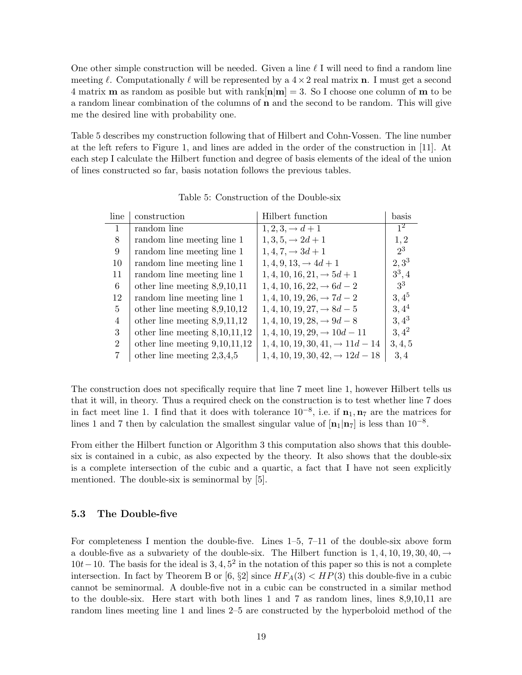One other simple construction will be needed. Given a line  $\ell$  I will need to find a random line meeting  $\ell$ . Computationally  $\ell$  will be represented by a  $4\times 2$  real matrix **n**. I must get a second 4 matrix **m** as random as posible but with rank $[n|m] = 3$ . So I choose one column of **m** to be a random linear combination of the columns of n and the second to be random. This will give me the desired line with probability one.

Table 5 describes my construction following that of Hilbert and Cohn-Vossen. The line number at the left refers to Figure 1, and lines are added in the order of the construction in [11]. At each step I calculate the Hilbert function and degree of basis elements of the ideal of the union of lines constructed so far, basis notation follows the previous tables.

| line                        | construction                    | Hilbert function                             | $_{\rm basis}$ |
|-----------------------------|---------------------------------|----------------------------------------------|----------------|
| 1                           | random line                     | $1, 2, 3, \rightarrow d+1$                   | 1 <sup>2</sup> |
| 8                           | random line meeting line 1      | $1, 3, 5, \rightarrow 2d+1$                  | 1, 2           |
| 9                           | random line meeting line 1      | $1, 4, 7, \rightarrow 3d+1$                  | $2^3$          |
| 10                          | random line meeting line 1      | $1, 4, 9, 13, \rightarrow 4d+1$              | $2, 3^3$       |
| 11                          | random line meeting line 1      | $1, 4, 10, 16, 21, \rightarrow 5d+1$         | $3^3, 4$       |
| 6                           | other line meeting $8,9,10,11$  | $1, 4, 10, 16, 22, \rightarrow 6d - 2$       | 3 <sup>3</sup> |
| 12                          | random line meeting line 1      | $1, 4, 10, 19, 26, \rightarrow 7d - 2$       | $3,4^5$        |
| 5                           | other line meeting $8,9,10,12$  | $1, 4, 10, 19, 27, \rightarrow 8d - 5$       | $3,4^4$        |
| 4                           | other line meeting $8,9,11,12$  | $1, 4, 10, 19, 28, \rightarrow 9d - 8$       | $3,4^3$        |
| 3                           | other line meeting $8,10,11,12$ | $1, 4, 10, 19, 29, \rightarrow 10d - 11$     | $3,4^2$        |
| $\mathcal{D}_{\mathcal{L}}$ | other line meeting $9,10,11,12$ | $1, 4, 10, 19, 30, 41, \rightarrow 11d - 14$ | 3, 4, 5        |
|                             | other line meeting $2,3,4,5$    | $1, 4, 10, 19, 30, 42, \rightarrow 12d - 18$ | 3, 4           |

Table 5: Construction of the Double-six

The construction does not specifically require that line 7 meet line 1, however Hilbert tells us that it will, in theory. Thus a required check on the construction is to test whether line 7 does in fact meet line 1. I find that it does with tolerance  $10^{-8}$ , i.e. if  $n_1, n_7$  are the matrices for lines 1 and 7 then by calculation the smallest singular value of  $[n_1|n_7]$  is less than  $10^{-8}$ .

From either the Hilbert function or Algorithm 3 this computation also shows that this doublesix is contained in a cubic, as also expected by the theory. It also shows that the double-six is a complete intersection of the cubic and a quartic, a fact that I have not seen explicitly mentioned. The double-six is seminormal by [5].

### 5.3 The Double-five

For completeness I mention the double-five. Lines 1–5, 7–11 of the double-six above form a double-five as a subvariety of the double-six. The Hilbert function is  $1, 4, 10, 19, 30, 40, \rightarrow$  $10t-10$ . The basis for the ideal is  $3, 4, 5^2$  in the notation of this paper so this is not a complete intersection. In fact by Theorem B or [6,  $\S2$ ] since  $HF_A(3) < HP(3)$  this double-five in a cubic cannot be seminormal. A double-five not in a cubic can be constructed in a similar method to the double-six. Here start with both lines 1 and 7 as random lines, lines 8,9,10,11 are random lines meeting line 1 and lines 2–5 are constructed by the hyperboloid method of the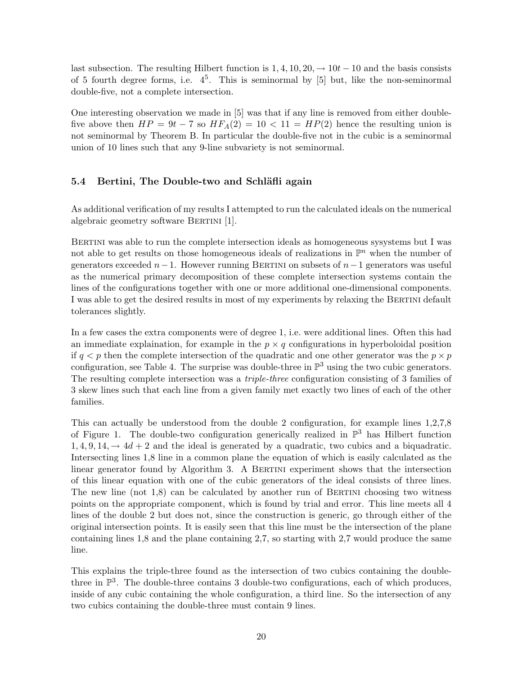last subsection. The resulting Hilbert function is  $1, 4, 10, 20, \rightarrow 10t - 10$  and the basis consists of 5 fourth degree forms, i.e.  $4^5$ . This is seminormal by [5] but, like the non-seminormal double-five, not a complete intersection.

One interesting observation we made in [5] was that if any line is removed from either doublefive above then  $HP = 9t - 7$  so  $HF_A(2) = 10 < 11 = HP(2)$  hence the resulting union is not seminormal by Theorem B. In particular the double-five not in the cubic is a seminormal union of 10 lines such that any 9-line subvariety is not seminormal.

### 5.4 Bertini, The Double-two and Schläfli again

As additional verification of my results I attempted to run the calculated ideals on the numerical algebraic geometry software BERTINI [1].

Bertini was able to run the complete intersection ideals as homogeneous sysystems but I was not able to get results on those homogeneous ideals of realizations in  $\mathbb{P}^n$  when the number of generators exceeded  $n-1$ . However running BERTINI on subsets of  $n-1$  generators was useful as the numerical primary decomposition of these complete intersection systems contain the lines of the configurations together with one or more additional one-dimensional components. I was able to get the desired results in most of my experiments by relaxing the BERTINI default tolerances slightly.

In a few cases the extra components were of degree 1, i.e. were additional lines. Often this had an immediate explaination, for example in the  $p \times q$  configurations in hyperboloidal position if  $q < p$  then the complete intersection of the quadratic and one other generator was the  $p \times p$ configuration, see Table 4. The surprise was double-three in  $\mathbb{P}^3$  using the two cubic generators. The resulting complete intersection was a *triple-three* configuration consisting of 3 families of 3 skew lines such that each line from a given family met exactly two lines of each of the other families.

This can actually be understood from the double 2 configuration, for example lines 1,2,7,8 of Figure 1. The double-two configuration generically realized in  $\mathbb{P}^3$  has Hilbert function  $1, 4, 9, 14, \rightarrow 4d + 2$  and the ideal is generated by a quadratic, two cubics and a biquadratic. Intersecting lines 1,8 line in a common plane the equation of which is easily calculated as the linear generator found by Algorithm 3. A BERTINI experiment shows that the intersection of this linear equation with one of the cubic generators of the ideal consists of three lines. The new line (not  $1,8$ ) can be calculated by another run of BERTINI choosing two witness points on the appropriate component, which is found by trial and error. This line meets all 4 lines of the double 2 but does not, since the construction is generic, go through either of the original intersection points. It is easily seen that this line must be the intersection of the plane containing lines 1,8 and the plane containing 2,7, so starting with 2,7 would produce the same line.

This explains the triple-three found as the intersection of two cubics containing the doublethree in  $\mathbb{P}^3$ . The double-three contains 3 double-two configurations, each of which produces, inside of any cubic containing the whole configuration, a third line. So the intersection of any two cubics containing the double-three must contain 9 lines.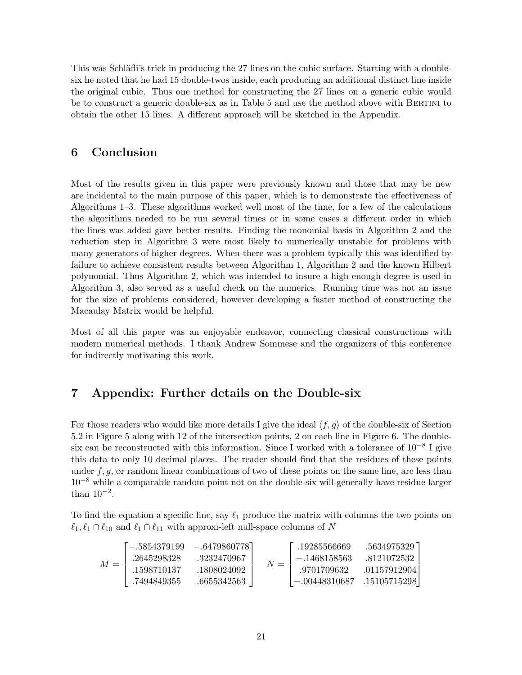This was Schläfli's trick in producing the 27 lines on the cubic surface. Starting with a doublesix he noted that he had 15 double-twos inside, each producing an additional distinct line inside the original cubic. Thus one method for constructing the 27 lines on a generic cubic would be to construct a generic double-six as in Table 5 and use the method above with BERTINI to obtain the other 15 lines. A different approach will be sketched in the Appendix.

### 6 Conclusion

Most of the results given in this paper were previously known and those that may be new are incidental to the main purpose of this paper, which is to demonstrate the effectiveness of Algorithms 1–3. These algorithms worked well most of the time, for a few of the calculations the algorithms needed to be run several times or in some cases a different order in which the lines was added gave better results. Finding the monomial basis in Algorithm 2 and the reduction step in Algorithm 3 were most likely to numerically unstable for problems with many generators of higher degrees. When there was a problem typically this was identified by failure to achieve consistent results between Algorithm 1, Algorithm 2 and the known Hilbert polynomial. Thus Algorithm 2, which was intended to insure a high enough degree is used in Algorithm 3, also served as a useful check on the numerics. Running time was not an issue for the size of problems considered, however developing a faster method of constructing the Macaulay Matrix would be helpful.

Most of all this paper was an enjoyable endeavor, connecting classical constructions with modern numerical methods. I thank Andrew Sommese and the organizers of this conference for indirectly motivating this work.

# 7 Appendix: Further details on the Double-six

For those readers who would like more details I give the ideal  $\langle f, g \rangle$  of the double-six of Section 5.2 in Figure 5 along with 12 of the intersection points, 2 on each line in Figure 6. The doublesix can be reconstructed with this information. Since I worked with a tolerance of  $10^{-8}$  I give this data to only 10 decimal places. The reader should find that the residues of these points under  $f, g$ , or random linear combinations of two of these points on the same line, are less than 10−<sup>8</sup> while a comparable random point not on the double-six will generally have residue larger than  $10^{-2}$ .

To find the equation a specific line, say  $\ell_1$  produce the matrix with columns the two points on  $\ell_1, \ell_1 \cap \ell_{10}$  and  $\ell_1 \cap \ell_{11}$  with approxi-left null-space columns of N

$$
M = \begin{bmatrix} -.5854379199 & -.6479860778 \\ .2645298328 & .3232470967 \\ .1598710137 & .1808024092 \\ .7494849355 & .6655342563 \end{bmatrix} \quad N = \begin{bmatrix} .19285566669 & .5634975329 \\ -.1468158563 & .8121072532 \\ .9701709632 & .01157912904 \\ -.00448310687 & .15105715298 \end{bmatrix}
$$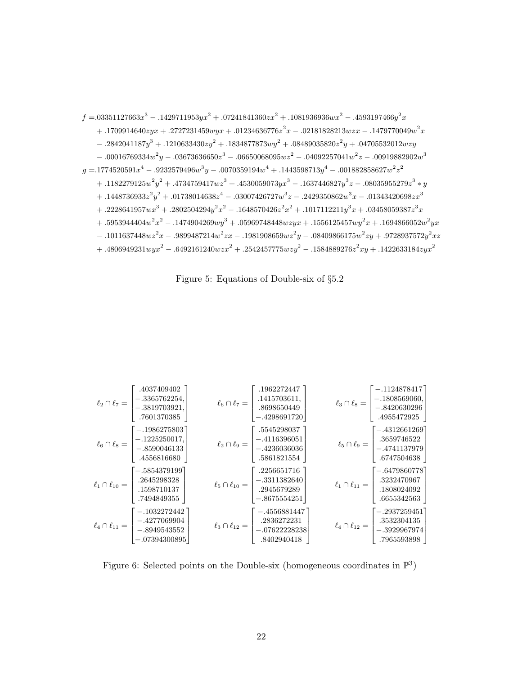$$
f = .03351127663x3 - .1429711953yx2 + .07241841360zx2 + .1081936936wx2 - .4593197466y2x + .1709914640zyx + .2727231459wyx + .01234636776z2x - .02181828213wzx - .1479770049w2x - .2842041187y3 + .1210633430zy2 + .1834877873wy2 + .08489035820z2y + .04705532012wzy - .00016769334w2y - .03673636650z3 - .06650068095wz2 - .04092257041w2z - .00919882902w3 g = .1774520591x4 - .9232579496w3y - .0070359194w4 + .1443598713y4 - .001882858627w2z2 + .1182279125w2y2 + .4734759417wz3 + .4530059073yx3 - .1637446827y3z - .08035955279z3 * y + .1448736933z2y2 + .01738014638z4 - .03007426727w3z - .2429350862w3x - .01343420698zx3 + .2228641957wx3
$$

Figure 5: Equations of Double-six of §5.2

| .4037409402<br>$\ell_2 \cap \ell_7 = \begin{vmatrix} -.3365762254, \\ -.3819703921, \end{vmatrix}$<br>.7601370385                                                                                                                                                                                                         | .1962272447<br>$\ell_6 \cap \ell_7 = \begin{bmatrix} .1415703611, \\ .8698650449 \\ -.4298691720 \end{bmatrix}$<br>$-.4298691720$                 | $-.1124878417$<br>$\ell_3 \cap \ell_8 = \begin{bmatrix} 1.12 & 0.000 & 0.000 \\ -0.1808569060 & 0.0000 \\ -0.8420630296 & 0.00000 \\ 0.000000 & 0.000000 \\ 0.000000 & 0.000000 \end{bmatrix}$ |
|---------------------------------------------------------------------------------------------------------------------------------------------------------------------------------------------------------------------------------------------------------------------------------------------------------------------------|---------------------------------------------------------------------------------------------------------------------------------------------------|------------------------------------------------------------------------------------------------------------------------------------------------------------------------------------------------|
| $[-.1986275803]$<br>$\ell_6 \cap \ell_8 = \begin{bmatrix} -.1225250017, \\ -.8590046133 \\ \frac{45500100}{45500100} \end{bmatrix}$<br>.4556816680                                                                                                                                                                        | .5545298037<br>$\ell_2 \cap \ell_9 = \begin{bmatrix} -.4116396051 \ -.4236036036 \ -.5861821554 \end{bmatrix}$                                    | $[-.4312661269]$<br>$\ell_5 \cap \ell_9 = \begin{bmatrix} .3659746522 \ -.4741137979 \ .6747504638 \end{bmatrix}$                                                                              |
| [-.5854379199]<br>$\ell_1 \cap \ell_{10} = \begin{bmatrix} .264529832 \ .864529832 \ .1598710137 \ .84644 \ .86464 \ .86464 \ .86464 \ .86464 \ .86464 \ .86464 \ .86464 \ .86464 \ .86464 \ .86464 \ .86464 \ .86464 \ .86464 \ .86464 \ .86464 \ .86464 \ .86464 \ .86464 \ .86464 \ .86464 \ .86464 \ .86464 \ .86464$ | .2256651716<br>$\ell_5 \cap \ell_{10} = \begin{bmatrix} -.3311382640 \\ .2945679289 \\ -.8675554251 \end{bmatrix}$<br>$\left[-.8675554251\right]$ | $[-.6479860778]$<br>$\ell_1 \cap \ell_{11} = \begin{bmatrix} .3232470967 \\ .1808024092 \\ .6655342563 \end{bmatrix}$<br>.6655342563                                                           |
| $\lceil -1032272442 \rceil$<br>$\ell_4 \cap \ell_{11} = \begin{vmatrix} -.4277069904 \\ -.8949543552 \end{vmatrix}$<br>$-0.07394300895$                                                                                                                                                                                   | $\lceil -4556881447 \rceil$<br>$\ell_3 \cap \ell_{12} = \begin{vmatrix} .2836272231 \\ -.07622228238 \\ 8400211 \end{vmatrix}$                    | $\lceil -.2937259451 \rceil$<br>$\ell_4 \cap \ell_{12} = \begin{vmatrix} .3532304135 \ - .3929967974 \end{vmatrix}$<br>.7965593898                                                             |

Figure 6: Selected points on the Double-six (homogeneous coordinates in  $\mathbb{P}^3$ )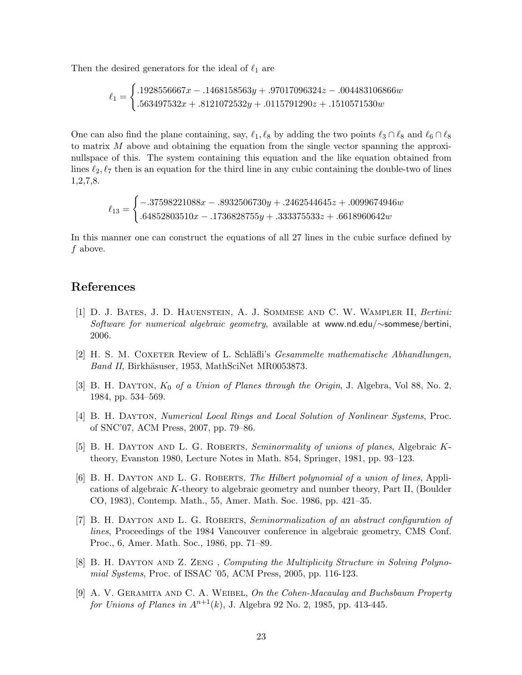Then the desired generators for the ideal of  $\ell_1$  are

$$
\ell_1 = \begin{cases} .1928556667x - .1468158563y + .97017096324z - .004483106866w \\ .563497532x + .8121072532y + .0115791290z + .1510571530w \end{cases}
$$

One can also find the plane containing, say,  $\ell_1, \ell_8$  by adding the two points  $\ell_3 \cap \ell_8$  and  $\ell_6 \cap \ell_8$ to matrix  $M$  above and obtaining the equation from the single vector spanning the approxinullspace of this. The system containing this equation and the like equation obtained from lines  $\ell_2, \ell_7$  then is an equation for the third line in any cubic containing the double-two of lines 1,2,7,8.

> $\ell_{13} =$  $\int -0.37598221088x - 0.8932506730y + 0.2462544645z + 0.0099674946w$  $.64852803510x - .1736828755y + .333375533z + .6618960642w$

In this manner one can construct the equations of all 27 lines in the cubic surface defined by f above.

### References

- [1] D. J. Bates, J. D. Hauenstein, A. J. Sommese and C. W. Wampler II, Bertini: Software for numerical algebraic geometry, available at www.nd.edu/∼sommese/bertini, 2006.
- [2] H. S. M. COXETER Review of L. Schläfli's *Gesammelte mathematische Abhandlungen*, Band II, Birkhäsuser, 1953, MathSciNet MR0053873.
- [3] B. H. DAYTON,  $K_0$  of a Union of Planes through the Origin, J. Algebra, Vol 88, No. 2, 1984, pp. 534–569.
- [4] B. H. Dayton, Numerical Local Rings and Local Solution of Nonlinear Systems, Proc. of SNC'07, ACM Press, 2007, pp. 79–86.
- [5] B. H. DAYTON AND L. G. ROBERTS, Seminormality of unions of planes, Algebraic Ktheory, Evanston 1980, Lecture Notes in Math. 854, Springer, 1981, pp. 93–123.
- [6] B. H. DAYTON AND L. G. ROBERTS, The Hilbert polynomial of a union of lines, Applications of algebraic K-theory to algebraic geometry and number theory, Part II, (Boulder CO, 1983), Contemp. Math., 55, Amer. Math. Soc. 1986, pp. 421–35.
- [7] B. H. DAYTON AND L. G. ROBERTS, Seminormalization of an abstract configuration of lines, Proceedings of the 1984 Vancouver conference in algebraic geometry, CMS Conf. Proc., 6, Amer. Math. Soc., 1986, pp. 71–89.
- [8] B. H. DAYTON AND Z. ZENG, Computing the Multiplicity Structure in Solving Polynomial Systems, Proc. of ISSAC '05, ACM Press, 2005, pp. 116-123.
- [9] A. V. GERAMITA AND C. A. WEIBEL, On the Cohen-Macaulay and Buchsbaum Property for Unions of Planes in  $A^{n+1}(k)$ , J. Algebra 92 No. 2, 1985, pp. 413-445.